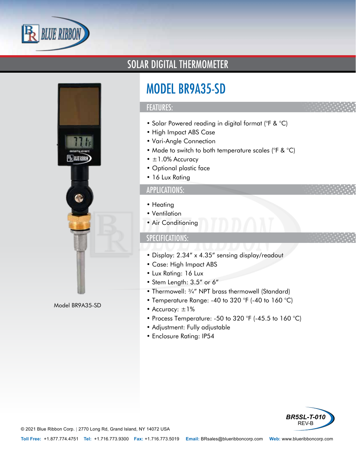



Model BR9A35-SD

### SOLAR DIGITAL THERMOMETER

# MODEL BR9A35-SD

#### FEATURES:

- Solar Powered reading in digital format (°F & °C)
- High Impact ABS Case
- Vari-Angle Connection
- Made to switch to both temperature scales (°F & °C)
- $\pm$ 1.0% Accuracy
- Optional plastic face
- 16 Lux Rating

#### APPLICATIONS:

- Heating
- Ventilation
- Air Conditioning

#### SPECIFICATIONS:

- Display: 2.34" x 4.35" sensing display/readout
- Case: High Impact ABS
- Lux Rating: 16 Lux
- Stem Length: 3.5" or 6"
- Thermowell: ¾" NPT brass thermowell (Standard)
- Temperature Range: -40 to 320 °F (-40 to 160 °C)
- Accuracy: ±1%
- Process Temperature: -50 to 320 °F (-45.5 to 160 °C)
- Adjustment: Fully adjustable
- Enclosure Rating: IP54



© 2021 Blue Ribbon Corp. *<sup>|</sup>* 2770 Long Rd, Grand Island, NY 14072 USA